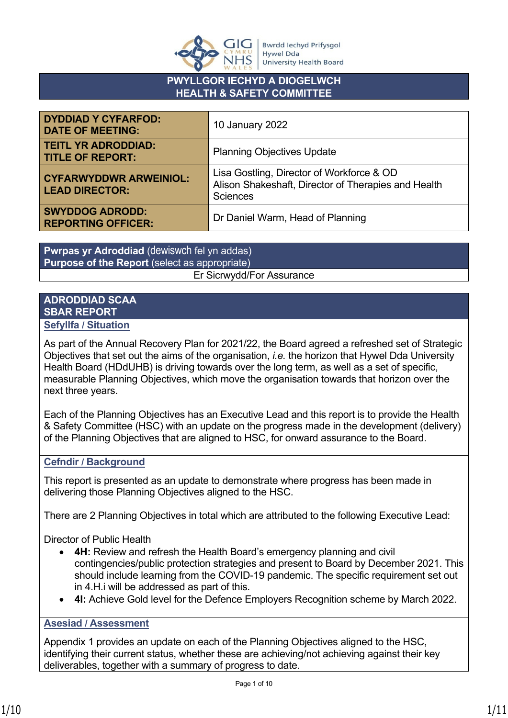

# **PWYLLGOR IECHYD A DIOGELWCH HEALTH & SAFETY COMMITTEE**

| <b>DYDDIAD Y CYFARFOD:</b><br><b>DATE OF MEETING:</b>  | <b>10 January 2022</b>                                                                                              |  |
|--------------------------------------------------------|---------------------------------------------------------------------------------------------------------------------|--|
| <b>TEITL YR ADRODDIAD:</b><br><b>TITLE OF REPORT:</b>  | <b>Planning Objectives Update</b>                                                                                   |  |
| <b>CYFARWYDDWR ARWEINIOL:</b><br><b>LEAD DIRECTOR:</b> | Lisa Gostling, Director of Workforce & OD<br>Alison Shakeshaft, Director of Therapies and Health<br><b>Sciences</b> |  |
| <b>SWYDDOG ADRODD:</b><br><b>REPORTING OFFICER:</b>    | Dr Daniel Warm, Head of Planning                                                                                    |  |

**Pwrpas yr Adroddiad** (dewiswch fel yn addas) **Purpose of the Report** (select as appropriate) Er Sicrwydd/For Assurance

# **ADRODDIAD SCAA SBAR REPORT**

**Sefyllfa / Situation** 

As part of the Annual Recovery Plan for 2021/22, the Board agreed a refreshed set of Strategic Objectives that set out the aims of the organisation, *i.e.* the horizon that Hywel Dda University Health Board (HDdUHB) is driving towards over the long term, as well as a set of specific, measurable Planning Objectives, which move the organisation towards that horizon over the next three years.

Each of the Planning Objectives has an Executive Lead and this report is to provide the Health & Safety Committee (HSC) with an update on the progress made in the development (delivery) of the Planning Objectives that are aligned to HSC, for onward assurance to the Board.

# **Cefndir / Background**

This report is presented as an update to demonstrate where progress has been made in delivering those Planning Objectives aligned to the HSC.

There are 2 Planning Objectives in total which are attributed to the following Executive Lead:

Director of Public Health

- **4H:** Review and refresh the Health Board's emergency planning and civil contingencies/public protection strategies and present to Board by December 2021. This should include learning from the COVID-19 pandemic. The specific requirement set out in 4.H.i will be addressed as part of this.
- **4I:** Achieve Gold level for the Defence Employers Recognition scheme by March 2022.

# **Asesiad / Assessment**

Appendix 1 provides an update on each of the Planning Objectives aligned to the HSC, identifying their current status, whether these are achieving/not achieving against their key deliverables, together with a summary of progress to date.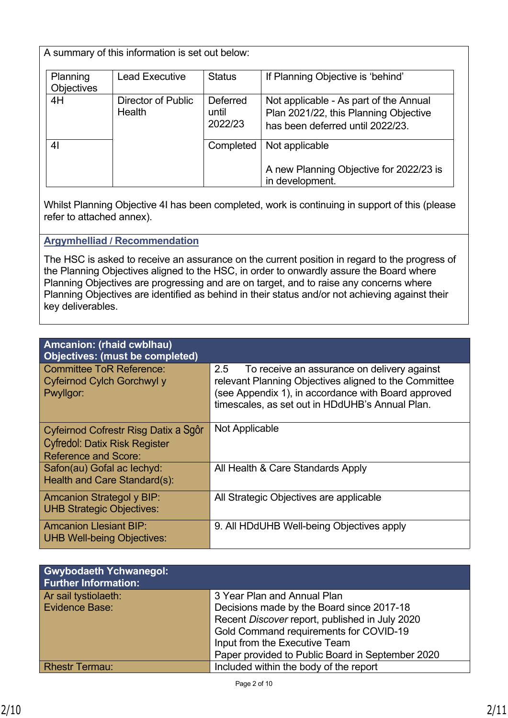A summary of this information is set out below:

| Planning<br><b>Objectives</b> | <b>Lead Executive</b>               | <b>Status</b>                       | If Planning Objective is 'behind'                                                                                   |
|-------------------------------|-------------------------------------|-------------------------------------|---------------------------------------------------------------------------------------------------------------------|
| 4H                            | Director of Public<br><b>Health</b> | <b>Deferred</b><br>until<br>2022/23 | Not applicable - As part of the Annual<br>Plan 2021/22, this Planning Objective<br>has been deferred until 2022/23. |
| 4 <sub>l</sub>                |                                     | Completed                           | Not applicable<br>A new Planning Objective for 2022/23 is<br>in development.                                        |

Whilst Planning Objective 4I has been completed, work is continuing in support of this (please refer to attached annex).

#### **Argymhelliad / Recommendation**

The HSC is asked to receive an assurance on the current position in regard to the progress of the Planning Objectives aligned to the HSC, in order to onwardly assure the Board where Planning Objectives are progressing and are on target, and to raise any concerns where Planning Objectives are identified as behind in their status and/or not achieving against their key deliverables.

| Amcanion: (rhaid cwblhau)<br><b>Objectives: (must be completed)</b>        |                                                                                                                                                                                                                       |
|----------------------------------------------------------------------------|-----------------------------------------------------------------------------------------------------------------------------------------------------------------------------------------------------------------------|
| <b>Committee ToR Reference:</b><br>Cyfeirnod Cylch Gorchwyl y<br>Pwyllgor: | To receive an assurance on delivery against<br>2.5<br>relevant Planning Objectives aligned to the Committee<br>(see Appendix 1), in accordance with Board approved<br>timescales, as set out in HDdUHB's Annual Plan. |
| Cyfeirnod Cofrestr Risg Datix a Sgôr                                       | Not Applicable                                                                                                                                                                                                        |
| <b>Cyfredol: Datix Risk Register</b>                                       |                                                                                                                                                                                                                       |
| <b>Reference and Score:</b>                                                |                                                                                                                                                                                                                       |
| Safon(au) Gofal ac lechyd:<br>Health and Care Standard(s):                 | All Health & Care Standards Apply                                                                                                                                                                                     |
| <b>Amcanion Strategol y BIP:</b><br><b>UHB Strategic Objectives:</b>       | All Strategic Objectives are applicable                                                                                                                                                                               |
| <b>Amcanion Llesiant BIP:</b><br><b>UHB Well-being Objectives:</b>         | 9. All HDdUHB Well-being Objectives apply                                                                                                                                                                             |

| <b>Gwybodaeth Ychwanegol:</b><br><b>Further Information:</b> |                                                  |
|--------------------------------------------------------------|--------------------------------------------------|
| Ar sail tystiolaeth:                                         | 3 Year Plan and Annual Plan                      |
| <b>Evidence Base:</b>                                        | Decisions made by the Board since 2017-18        |
|                                                              | Recent Discover report, published in July 2020   |
|                                                              | Gold Command requirements for COVID-19           |
|                                                              | Input from the Executive Team                    |
|                                                              | Paper provided to Public Board in September 2020 |
| <b>Rhestr Termau:</b>                                        | Included within the body of the report           |

Choose an item.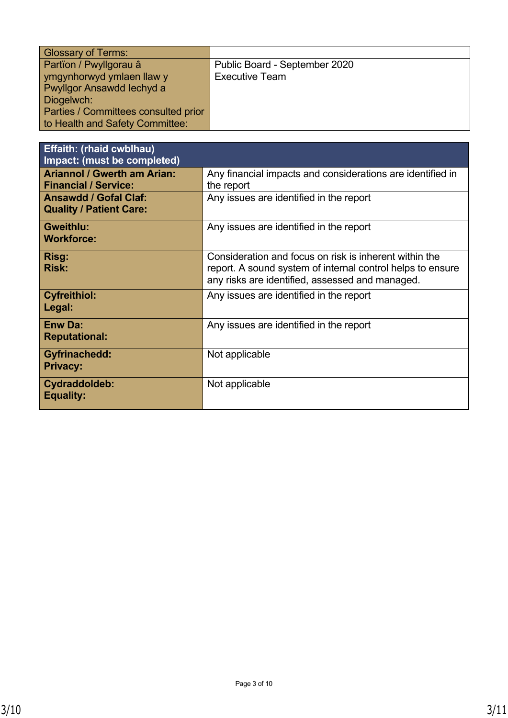| <b>Glossary of Terms:</b>            |                               |
|--------------------------------------|-------------------------------|
| Partïon / Pwyllgorau â               | Public Board - September 2020 |
| ymgynhorwyd ymlaen llaw y            | <b>Executive Team</b>         |
| Pwyllgor Ansawdd Iechyd a            |                               |
| Diogelwch:                           |                               |
| Parties / Committees consulted prior |                               |
| to Health and Safety Committee:      |                               |

| <b>Effaith: (rhaid cwblhau)</b>                                   |                                                                                                                                                                         |
|-------------------------------------------------------------------|-------------------------------------------------------------------------------------------------------------------------------------------------------------------------|
| Impact: (must be completed)                                       |                                                                                                                                                                         |
| <b>Ariannol / Gwerth am Arian:</b><br><b>Financial / Service:</b> | Any financial impacts and considerations are identified in<br>the report                                                                                                |
| <b>Ansawdd / Gofal Claf:</b><br><b>Quality / Patient Care:</b>    | Any issues are identified in the report                                                                                                                                 |
| <b>Gweithlu:</b><br><b>Workforce:</b>                             | Any issues are identified in the report                                                                                                                                 |
| Risg:<br><b>Risk:</b>                                             | Consideration and focus on risk is inherent within the<br>report. A sound system of internal control helps to ensure<br>any risks are identified, assessed and managed. |
| <b>Cyfreithiol:</b><br>Legal:                                     | Any issues are identified in the report                                                                                                                                 |
| <b>Enw Da:</b><br><b>Reputational:</b>                            | Any issues are identified in the report                                                                                                                                 |
| <b>Gyfrinachedd:</b><br><b>Privacy:</b>                           | Not applicable                                                                                                                                                          |
| Cydraddoldeb:<br><b>Equality:</b>                                 | Not applicable                                                                                                                                                          |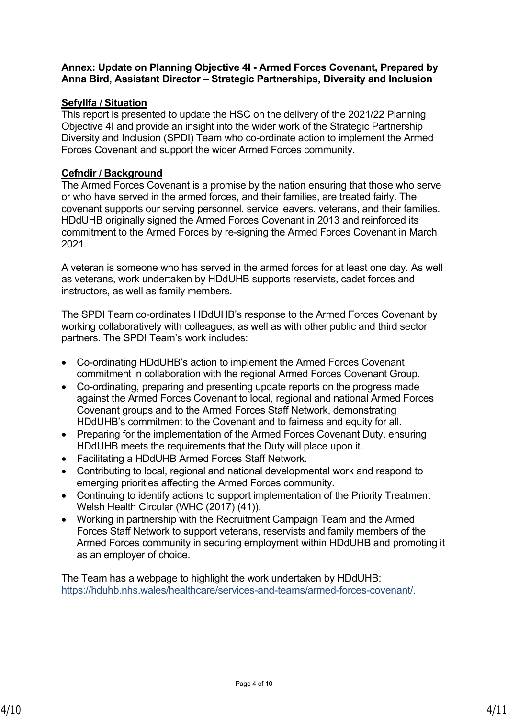#### **Annex: Update on Planning Objective 4I - Armed Forces Covenant, Prepared by Anna Bird, Assistant Director – Strategic Partnerships, Diversity and Inclusion**

# **Sefyllfa / Situation**

This report is presented to update the HSC on the delivery of the 2021/22 Planning Objective 4I and provide an insight into the wider work of the Strategic Partnership Diversity and Inclusion (SPDI) Team who co-ordinate action to implement the Armed Forces Covenant and support the wider Armed Forces community.

## **Cefndir / Background**

The Armed Forces Covenant is a promise by the nation ensuring that those who serve or who have served in the armed forces, and their families, are treated fairly. The covenant supports our serving personnel, service leavers, veterans, and their families. HDdUHB originally signed the Armed Forces Covenant in 2013 and reinforced its commitment to the Armed Forces by re-signing the Armed Forces Covenant in March 2021.

A veteran is someone who has served in the armed forces for at least one day. As well as veterans, work undertaken by HDdUHB supports reservists, cadet forces and instructors, as well as family members.

The SPDI Team co-ordinates HDdUHB's response to the Armed Forces Covenant by working collaboratively with colleagues, as well as with other public and third sector partners. The SPDI Team's work includes:

- Co-ordinating HDdUHB's action to implement the Armed Forces Covenant commitment in collaboration with the regional Armed Forces Covenant Group.
- Co-ordinating, preparing and presenting update reports on the progress made against the Armed Forces Covenant to local, regional and national Armed Forces Covenant groups and to the Armed Forces Staff Network, demonstrating HDdUHB's commitment to the Covenant and to fairness and equity for all.
- Preparing for the implementation of the Armed Forces Covenant Duty, ensuring HDdUHB meets the requirements that the Duty will place upon it.
- Facilitating a HDdUHB Armed Forces Staff Network.
- Contributing to local, regional and national developmental work and respond to emerging priorities affecting the Armed Forces community.
- Continuing to identify actions to support implementation of the Priority Treatment Welsh Health Circular (WHC (2017) (41)).
- Working in partnership with the Recruitment Campaign Team and the Armed Forces Staff Network to support veterans, reservists and family members of the Armed Forces community in securing employment within HDdUHB and promoting it as an employer of choice.

The Team has a webpage to highlight the work undertaken by HDdUHB: <https://hduhb.nhs.wales/healthcare/services-and-teams/armed-forces-covenant/>.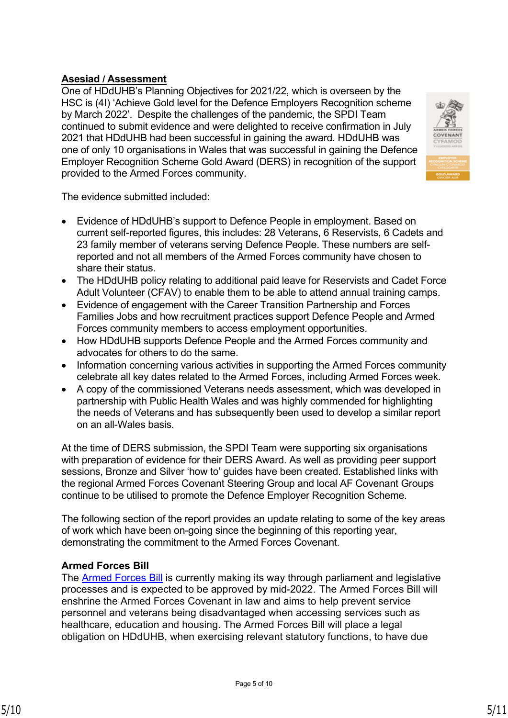# **Asesiad / Assessment**

One of HDdUHB's Planning Objectives for 2021/22, which is overseen by the HSC is (4I) 'Achieve Gold level for the Defence Employers Recognition scheme by March 2022'. Despite the challenges of the pandemic, the SPDI Team continued to submit evidence and were delighted to receive confirmation in July 2021 that HDdUHB had been successful in gaining the award. HDdUHB was one of only 10 organisations in Wales that was successful in gaining the Defence Employer Recognition Scheme Gold Award (DERS) in recognition of the support provided to the Armed Forces community.



The evidence submitted included:

- Evidence of HDdUHB's support to Defence People in employment. Based on current self-reported figures, this includes: 28 Veterans, 6 Reservists, 6 Cadets and 23 family member of veterans serving Defence People. These numbers are selfreported and not all members of the Armed Forces community have chosen to share their status.
- The HDdUHB policy relating to additional paid leave for Reservists and Cadet Force Adult Volunteer (CFAV) to enable them to be able to attend annual training camps.
- Evidence of engagement with the Career Transition Partnership and Forces Families Jobs and how recruitment practices support Defence People and Armed Forces community members to access employment opportunities.
- How HDdUHB supports Defence People and the Armed Forces community and advocates for others to do the same.
- Information concerning various activities in supporting the Armed Forces community celebrate all key dates related to the Armed Forces, including Armed Forces week.
- A copy of the commissioned Veterans needs assessment, which was developed in partnership with Public Health Wales and was highly commended for highlighting the needs of Veterans and has subsequently been used to develop a similar report on an all-Wales basis.

At the time of DERS submission, the SPDI Team were supporting six organisations with preparation of evidence for their DERS Award. As well as providing peer support sessions, Bronze and Silver 'how to' guides have been created. Established links with the regional Armed Forces Covenant Steering Group and local AF Covenant Groups continue to be utilised to promote the Defence Employer Recognition Scheme.

The following section of the report provides an update relating to some of the key areas of work which have been on-going since the beginning of this reporting year, demonstrating the commitment to the Armed Forces Covenant.

#### **Armed Forces Bill**

The [Armed Forces Bill](https://www.gov.uk/government/collections/armed-forces-bill-2021) is currently making its way through parliament and legislative processes and is expected to be approved by mid-2022. The Armed Forces Bill will enshrine the Armed Forces Covenant in law and aims to help prevent service personnel and veterans being disadvantaged when accessing services such as healthcare, education and housing. The Armed Forces Bill will place a legal obligation on HDdUHB, when exercising relevant statutory functions, to have due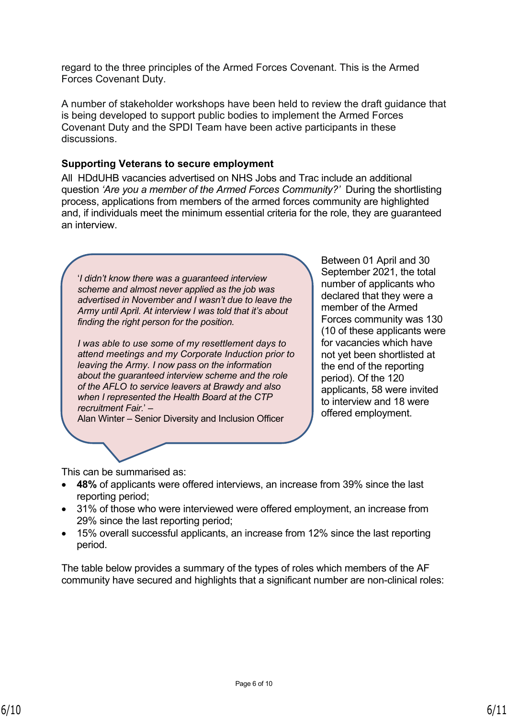regard to the three principles of the Armed Forces Covenant. This is the Armed Forces Covenant Duty.

A number of stakeholder workshops have been held to review the draft guidance that is being developed to support public bodies to implement the Armed Forces Covenant Duty and the SPDI Team have been active participants in these discussions.

#### **Supporting Veterans to secure employment**

All HDdUHB vacancies advertised on NHS Jobs and Trac include an additional question *'Are you a member of the Armed Forces Community?'* During the shortlisting process, applications from members of the armed forces community are highlighted and, if individuals meet the minimum essential criteria for the role, they are guaranteed an interview.

'*I didn't know there was a guaranteed interview scheme and almost never applied as the job was advertised in November and I wasn't due to leave the Army until April. At interview I was told that it's about finding the right person for the position.* 

*I was able to use some of my resettlement days to attend meetings and my Corporate Induction prior to leaving the Army. I now pass on the information about the guaranteed interview scheme and the role of the AFLO to service leavers at Brawdy and also when I represented the Health Board at the CTP recruitment Fair.*' –

Alan Winter – Senior Diversity and Inclusion Officer

Between 01 April and 30 September 2021, the total number of applicants who declared that they were a member of the Armed Forces community was 130 (10 of these applicants were for vacancies which have not yet been shortlisted at the end of the reporting period). Of the 120 applicants, 58 were invited to interview and 18 were offered employment.

This can be summarised as:

- **48%** of applicants were offered interviews, an increase from 39% since the last reporting period;
- 31% of those who were interviewed were offered employment, an increase from 29% since the last reporting period;
- 15% overall successful applicants, an increase from 12% since the last reporting period.

The table below provides a summary of the types of roles which members of the AF community have secured and highlights that a significant number are non-clinical roles: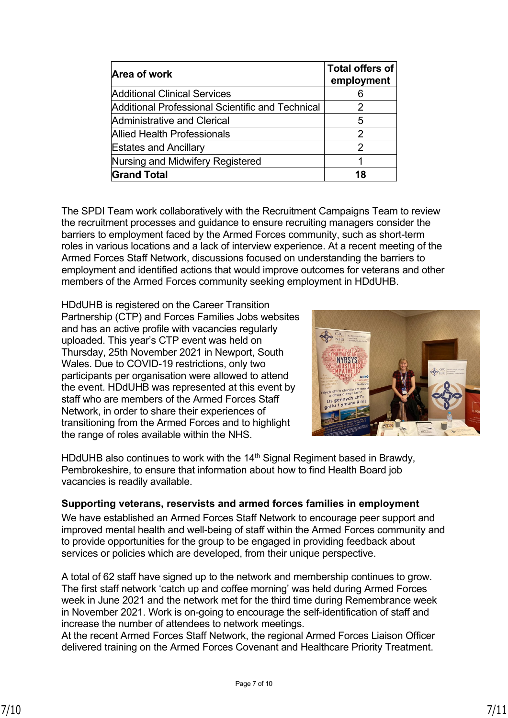| Area of work                                     | <b>Total offers of</b><br>employment |
|--------------------------------------------------|--------------------------------------|
| Additional Clinical Services                     | 6                                    |
| Additional Professional Scientific and Technical | 2                                    |
| Administrative and Clerical                      | 5                                    |
| Allied Health Professionals                      | 2                                    |
| <b>Estates and Ancillary</b>                     | 2                                    |
| Nursing and Midwifery Registered                 |                                      |
| <b>Grand Total</b>                               | 18                                   |

The SPDI Team work collaboratively with the Recruitment Campaigns Team to review the recruitment processes and guidance to ensure recruiting managers consider the barriers to employment faced by the Armed Forces community, such as short-term roles in various locations and a lack of interview experience. At a recent meeting of the Armed Forces Staff Network, discussions focused on understanding the barriers to employment and identified actions that would improve outcomes for veterans and other members of the Armed Forces community seeking employment in HDdUHB.

HDdUHB is registered on the Career Transition Partnership (CTP) and Forces Families Jobs websites and has an active profile with vacancies regularly uploaded. This year's CTP event was held on Thursday, 25th November 2021 in Newport, South Wales. Due to COVID-19 restrictions, only two participants per organisation were allowed to attend the event. HDdUHB was represented at this event by staff who are members of the Armed Forces Staff Network, in order to share their experiences of transitioning from the Armed Forces and to highlight the range of roles available within the NHS.



HDdUHB also continues to work with the 14<sup>th</sup> Signal Regiment based in Brawdy, Pembrokeshire, to ensure that information about how to find Health Board job vacancies is readily available.

#### **Supporting veterans, reservists and armed forces families in employment**

We have established an Armed Forces Staff Network to encourage peer support and improved mental health and well-being of staff within the Armed Forces community and to provide opportunities for the group to be engaged in providing feedback about services or policies which are developed, from their unique perspective.

A total of 62 staff have signed up to the network and membership continues to grow. The first staff network 'catch up and coffee morning' was held during Armed Forces week in June 2021 and the network met for the third time during Remembrance week in November 2021. Work is on-going to encourage the self-identification of staff and increase the number of attendees to network meetings.

At the recent Armed Forces Staff Network, the regional Armed Forces Liaison Officer delivered training on the Armed Forces Covenant and Healthcare Priority Treatment.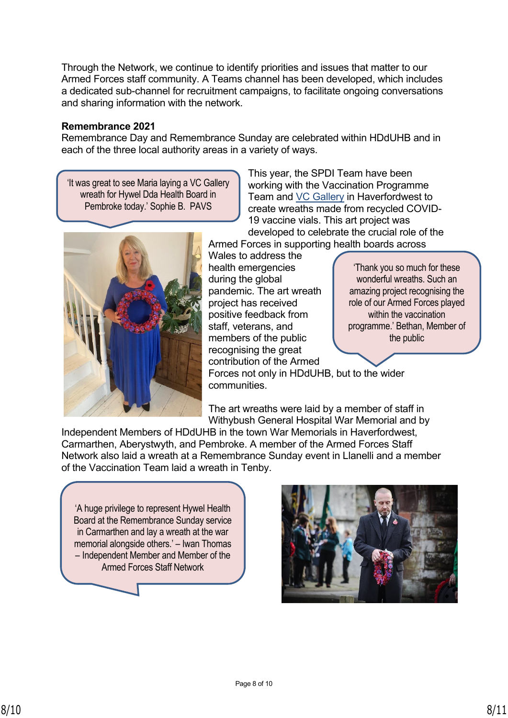Through the Network, we continue to identify priorities and issues that matter to our Armed Forces staff community. A Teams channel has been developed, which includes a dedicated sub-channel for recruitment campaigns, to facilitate ongoing conversations and sharing information with the network.

#### **Remembrance 2021**

Remembrance Day and Remembrance Sunday are celebrated within HDdUHB and in each of the three local authority areas in a variety of ways.

'It was great to see Maria laying a VC Gallery wreath for Hywel Dda Health Board in Pembroke today.' Sophie B. PAVS

This year, the SPDI Team have been working with the Vaccination Programme Team and [VC Gallery](https://www.thevcgallery.com/) in Haverfordwest to create wreaths made from recycled COVID-19 vaccine vials. This art project was developed to celebrate the crucial role of the Armed Forces in supporting health boards across



Wales to address the health emergencies during the global pandemic. The art wreath project has received positive feedback from staff, veterans, and members of the public recognising the great contribution of the Armed Forces not only in HDdUHB, but to the wider communities. 'Thank you so much for these wonderful wreaths. Such an amazing project recognising the role of our Armed Forces played within the vaccination programme.' Bethan, Member of the public

The art wreaths were laid by a member of staff in Withybush General Hospital War Memorial and by

Independent Members of HDdUHB in the town War Memorials in Haverfordwest, Carmarthen, Aberystwyth, and Pembroke. A member of the Armed Forces Staff Network also laid a wreath at a Remembrance Sunday event in Llanelli and a member of the Vaccination Team laid a wreath in Tenby.

'A huge privilege to represent Hywel Health Board at the Remembrance Sunday service in Carmarthen and lay a wreath at the war memorial alongside others.' – Iwan Thomas – Independent Member and Member of the Armed Forces Staff Network

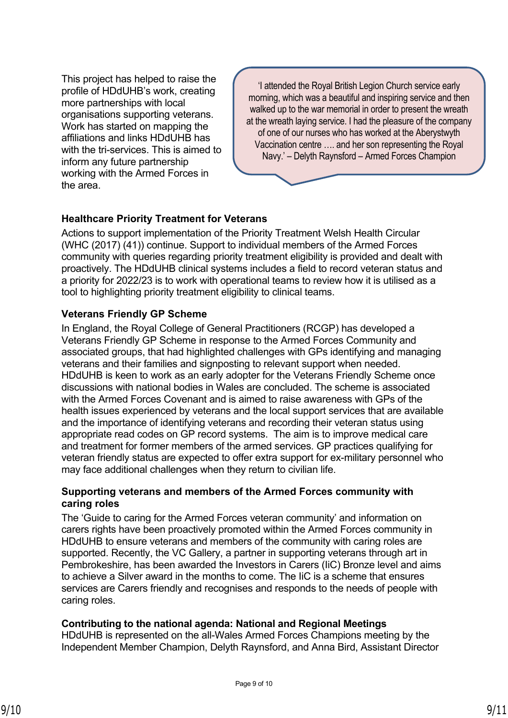This project has helped to raise the profile of HDdUHB's work, creating more partnerships with local organisations supporting veterans. Work has started on mapping the affiliations and links HDdUHB has with the tri-services. This is aimed to inform any future partnership working with the Armed Forces in the area.

'I attended the Royal British Legion Church service early morning, which was a beautiful and inspiring service and then walked up to the war memorial in order to present the wreath at the wreath laying service. I had the pleasure of the company of one of our nurses who has worked at the Aberystwyth Vaccination centre …. and her son representing the Royal Navy.' – Delyth Raynsford – Armed Forces Champion

# **Healthcare Priority Treatment for Veterans**

Actions to support implementation of the Priority Treatment Welsh Health Circular (WHC (2017) (41)) continue. Support to individual members of the Armed Forces community with queries regarding priority treatment eligibility is provided and dealt with proactively. The HDdUHB clinical systems includes a field to record veteran status and a priority for 2022/23 is to work with operational teams to review how it is utilised as a tool to highlighting priority treatment eligibility to clinical teams.

## **Veterans Friendly GP Scheme**

In England, the Royal College of General Practitioners (RCGP) has developed a Veterans Friendly GP Scheme in response to the Armed Forces Community and associated groups, that had highlighted challenges with GPs identifying and managing veterans and their families and signposting to relevant support when needed. HDdUHB is keen to work as an early adopter for the Veterans Friendly Scheme once discussions with national bodies in Wales are concluded. The scheme is associated with the Armed Forces Covenant and is aimed to raise awareness with GPs of the health issues experienced by veterans and the local support services that are available and the importance of identifying veterans and recording their veteran status using appropriate read codes on GP record systems. The aim is to improve medical care and treatment for former members of the armed services. GP practices qualifying for veteran friendly status are expected to offer extra support for ex-military personnel who may face additional challenges when they return to civilian life.

## **Supporting veterans and members of the Armed Forces community with caring roles**

The 'Guide to caring for the Armed Forces veteran community' and information on carers rights have been proactively promoted within the Armed Forces community in HDdUHB to ensure veterans and members of the community with caring roles are supported. Recently, the VC Gallery, a partner in supporting veterans through art in Pembrokeshire, has been awarded the Investors in Carers (IiC) Bronze level and aims to achieve a Silver award in the months to come. The IiC is a scheme that ensures services are Carers friendly and recognises and responds to the needs of people with caring roles.

# **Contributing to the national agenda: National and Regional Meetings**

HDdUHB is represented on the all-Wales Armed Forces Champions meeting by the Independent Member Champion, Delyth Raynsford, and Anna Bird, Assistant Director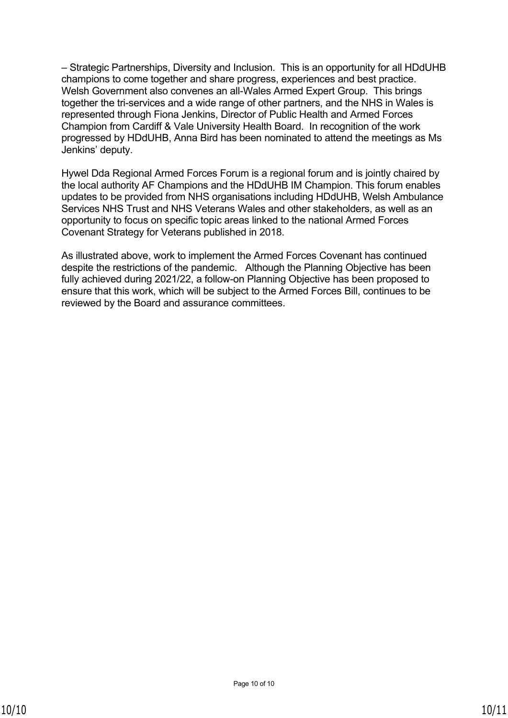– Strategic Partnerships, Diversity and Inclusion. This is an opportunity for all HDdUHB champions to come together and share progress, experiences and best practice. Welsh Government also convenes an all-Wales Armed Expert Group. This brings together the tri-services and a wide range of other partners, and the NHS in Wales is represented through Fiona Jenkins, Director of Public Health and Armed Forces Champion from Cardiff & Vale University Health Board. In recognition of the work progressed by HDdUHB, Anna Bird has been nominated to attend the meetings as Ms Jenkins' deputy.

Hywel Dda Regional Armed Forces Forum is a regional forum and is jointly chaired by the local authority AF Champions and the HDdUHB IM Champion. This forum enables updates to be provided from NHS organisations including HDdUHB, Welsh Ambulance Services NHS Trust and NHS Veterans Wales and other stakeholders, as well as an opportunity to focus on specific topic areas linked to the national Armed Forces Covenant Strategy for Veterans published in 2018.

As illustrated above, work to implement the Armed Forces Covenant has continued despite the restrictions of the pandemic. Although the Planning Objective has been fully achieved during 2021/22, a follow-on Planning Objective has been proposed to ensure that this work, which will be subject to the Armed Forces Bill, continues to be reviewed by the Board and assurance committees.